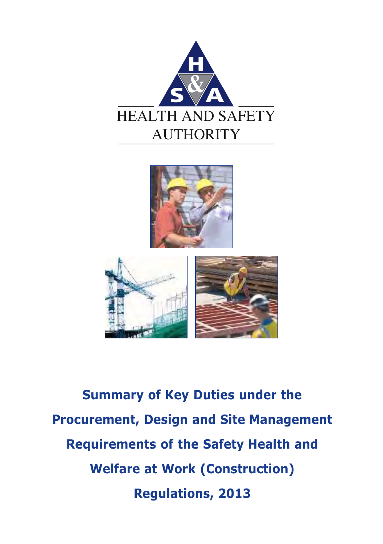





**Summary of Key Duties under the Procurement, Design and Site Management Requirements of the Safety Health and Welfare at Work (Construction) Regulations, 2013**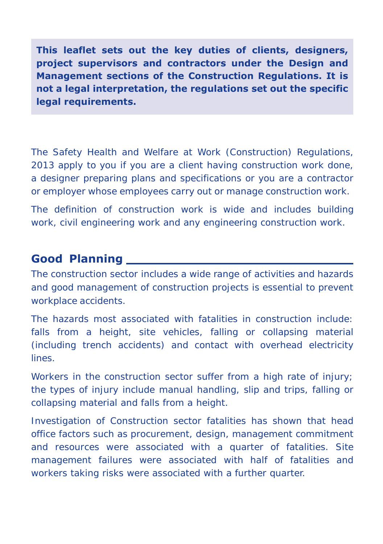**This leaflet sets out the key duties of clients, designers, project supervisors and contractors under the Design and Management sections of the Construction Regulations. It is not a legal interpretation, the regulations set out the specific legal requirements.**

The Safety Health and Welfare at Work (Construction) Regulations, 2013 apply to you if you are a client having construction work done, a designer preparing plans and specifications or you are a contractor or employer whose employees carry out or manage construction work.

The definition of construction work is wide and includes building work, civil engineering work and any engineering construction work.

### **Good Planning**

The construction sector includes a wide range of activities and hazards and good management of construction projects is essential to prevent workplace accidents.

The hazards most associated with fatalities in construction include: falls from a height, site vehicles, falling or collapsing material (including trench accidents) and contact with overhead electricity **lines** 

Workers in the construction sector suffer from a high rate of injury; the types of injury include manual handling, slip and trips, falling or collapsing material and falls from a height.

Investigation of Construction sector fatalities has shown that head office factors such as procurement, design, management commitment and resources were associated with a quarter of fatalities. Site management failures were associated with half of fatalities and workers taking risks were associated with a further quarter.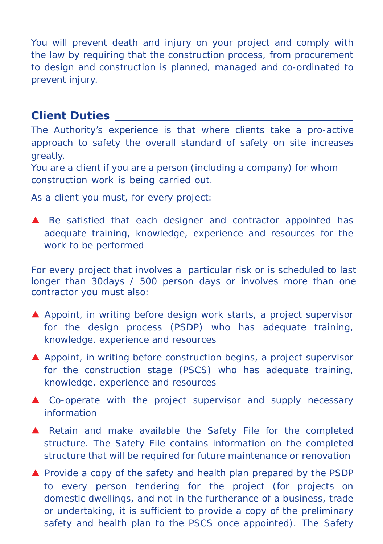You will prevent death and injury on your project and comply with the law by requiring that the construction process, from procurement to design and construction is planned, managed and co-ordinated to prevent injury.

#### **Client Duties**

The Authority's experience is that where clients take a pro-active approach to safety the overall standard of safety on site increases greatly.

You are a client if you are a person (including a company) for whom construction work is being carried out.

As a client you must, for every project:

▲ Be satisfied that each designer and contractor appointed has adequate training, knowledge, experience and resources for the work to be performed

For every project that involves a particular risk or is scheduled to last longer than 30days / 500 person days or involves more than one contractor you must also:

- ▲ Appoint, in writing before design work starts, a project supervisor for the design process (PSDP) who has adequate training, knowledge, experience and resources
- ▲ Appoint, in writing before construction begins, a project supervisor for the construction stage (PSCS) who has adequate training, knowledge, experience and resources
- ▲ Co-operate with the project supervisor and supply necessary information
- ▲ Retain and make available the Safety File for the completed structure. The Safety File contains information on the completed structure that will be required for future maintenance or renovation
- ▲ Provide a copy of the safety and health plan prepared by the PSDP to every person tendering for the project (for projects on domestic dwellings, and not in the furtherance of a business, trade or undertaking, it is sufficient to provide a copy of the preliminary safety and health plan to the PSCS once appointed). The Safety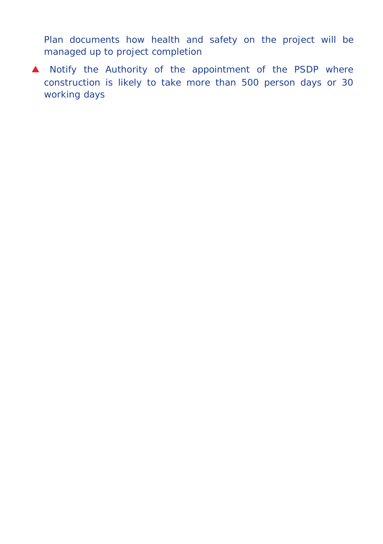Plan documents how health and safety on the project will be managed up to project completion

▲ Notify the Authority of the appointment of the PSDP where construction is likely to take more than 500 person days or 30 working days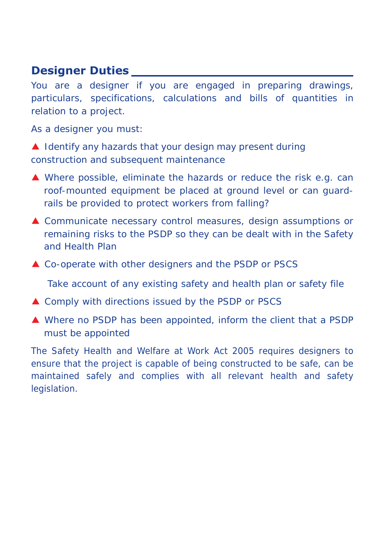## **Designer Duties**

You are a designer if you are engaged in preparing drawings, particulars, specifications, calculations and bills of quantities in relation to a project.

As a designer you must:

▲ Identify any hazards that your design may present during construction and subsequent maintenance

- ▲ Where possible, eliminate the hazards or reduce the risk e.g. can roof-mounted equipment be placed at ground level or can guardrails be provided to protect workers from falling?
- ▲ Communicate necessary control measures, design assumptions or remaining risks to the PSDP so they can be dealt with in the Safety and Health Plan
- ▲ Co-operate with other designers and the PSDP or PSCS

Take account of any existing safety and health plan or safety file

- ▲ Comply with directions issued by the PSDP or PSCS
- ▲ Where no PSDP has been appointed, inform the client that a PSDP must be appointed

The Safety Health and Welfare at Work Act 2005 requires designers to ensure that the project is capable of being constructed to be safe, can be maintained safely and complies with all relevant health and safety legislation.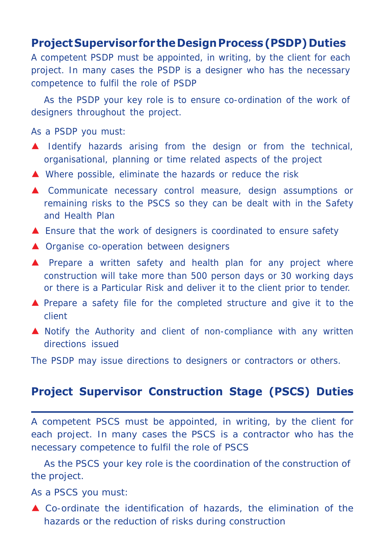#### **Project Supervisor for the Design Process (PSDP) Duties**

A competent PSDP must be appointed, in writing, by the client for each project. In many cases the PSDP is a designer who has the necessary competence to fulfil the role of PSDP

As the PSDP your key role is to ensure co-ordination of the work of designers throughout the project.

As a PSDP you must:

- ▲ Identify hazards arising from the design or from the technical, organisational, planning or time related aspects of the project
- ▲ Where possible, eliminate the hazards or reduce the risk
- ▲ Communicate necessary control measure, design assumptions or remaining risks to the PSCS so they can be dealt with in the Safety and Health Plan
- ▲ Ensure that the work of designers is coordinated to ensure safety
- ▲ Organise co-operation between designers
- ▲ Prepare a written safety and health plan for any project where construction will take more than 500 person days or 30 working days or there is a Particular Risk and deliver it to the client prior to tender.
- ▲ Prepare a safety file for the completed structure and give it to the client
- ▲ Notify the Authority and client of non-compliance with any written directions issued

The PSDP may issue directions to designers or contractors or others.

### **Project Supervisor Construction Stage (PSCS) Duties**

A competent PSCS must be appointed, in writing, by the client for each project. In many cases the PSCS is a contractor who has the necessary competence to fulfil the role of PSCS

As the PSCS your key role is the coordination of the construction of the project.

As a PSCS you must:

▲ Co-ordinate the identification of hazards, the elimination of the hazards or the reduction of risks during construction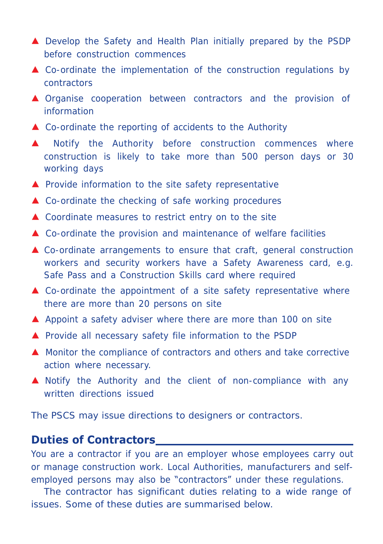- ▲ Develop the Safety and Health Plan initially prepared by the PSDP before construction commences
- ▲ Co-ordinate the implementation of the construction regulations by contractors
- ▲ Organise cooperation between contractors and the provision of information
- ▲ Co-ordinate the reporting of accidents to the Authority
- ▲ Notify the Authority before construction commences where construction is likely to take more than 500 person days or 30 working days
- ▲ Provide information to the site safety representative
- ▲ Co-ordinate the checking of safe working procedures
- ▲ Coordinate measures to restrict entry on to the site
- ▲ Co-ordinate the provision and maintenance of welfare facilities
- ▲ Co-ordinate arrangements to ensure that craft, general construction workers and security workers have a Safety Awareness card, e.g. Safe Pass and a Construction Skills card where required
- ▲ Co-ordinate the appointment of a site safety representative where there are more than 20 persons on site
- ▲ Appoint a safety adviser where there are more than 100 on site
- ▲ Provide all necessary safety file information to the PSDP
- ▲ Monitor the compliance of contractors and others and take corrective action where necessary.
- ▲ Notify the Authority and the client of non-compliance with any written directions issued

The PSCS may issue directions to designers or contractors.

#### **Duties of Contractors**

You are a contractor if you are an employer whose employees carry out or manage construction work. Local Authorities, manufacturers and selfemployed persons may also be "contractors" under these regulations.

The contractor has significant duties relating to a wide range of issues. Some of these duties are summarised below.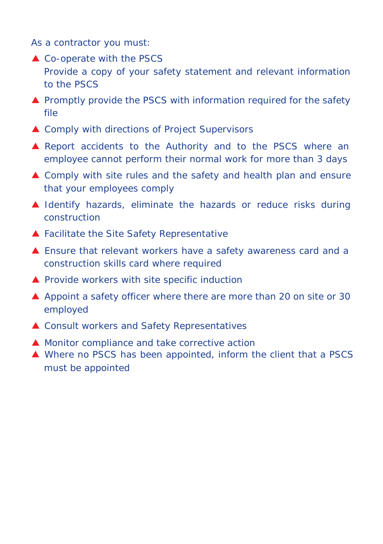As a contractor you must:

- ▲ Co-operate with the PSCS Provide a copy of your safety statement and relevant information to the PSCS
- ▲ Promptly provide the PSCS with information required for the safety file
- ▲ Comply with directions of Project Supervisors
- ▲ Report accidents to the Authority and to the PSCS where an employee cannot perform their normal work for more than 3 days
- ▲ Comply with site rules and the safety and health plan and ensure that your employees comply
- ▲ Identify hazards, eliminate the hazards or reduce risks during construction
- ▲ Facilitate the Site Safety Representative
- ▲ Ensure that relevant workers have a safety awareness card and a construction skills card where required
- ▲ Provide workers with site specific induction
- ▲ Appoint a safety officer where there are more than 20 on site or 30 employed
- ▲ Consult workers and Safety Representatives
- ▲ Monitor compliance and take corrective action
- ▲ Where no PSCS has been appointed, inform the client that a PSCS must be appointed